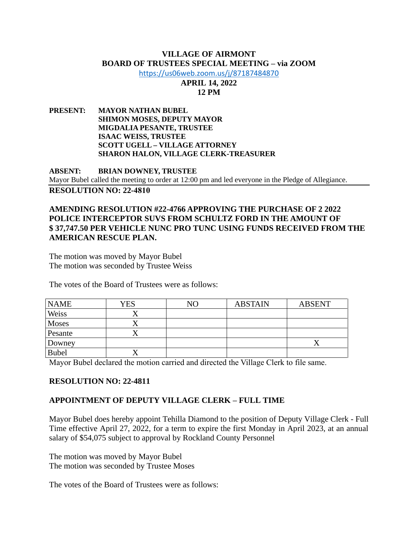#### **VILLAGE OF AIRMONT BOARD OF TRUSTEES SPECIAL MEETING – via ZOOM**

<https://us06web.zoom.us/j/87187484870>

# **APRIL 14, 2022 12 PM**

**PRESENT: MAYOR NATHAN BUBEL SHIMON MOSES, DEPUTY MAYOR MIGDALIA PESANTE, TRUSTEE ISAAC WEISS, TRUSTEE SCOTT UGELL – VILLAGE ATTORNEY SHARON HALON, VILLAGE CLERK-TREASURER**

**ABSENT: BRIAN DOWNEY, TRUSTEE** Mayor Bubel called the meeting to order at 12:00 pm and led everyone in the Pledge of Allegiance. **RESOLUTION NO: 22-4810**

## **AMENDING RESOLUTION #22-4766 APPROVING THE PURCHASE OF 2 2022 POLICE INTERCEPTOR SUVS FROM SCHULTZ FORD IN THE AMOUNT OF \$ 37,747.50 PER VEHICLE NUNC PRO TUNC USING FUNDS RECEIVED FROM THE AMERICAN RESCUE PLAN.**

The motion was moved by Mayor Bubel The motion was seconded by Trustee Weiss

The votes of the Board of Trustees were as follows:

| <b>NAME</b>  | YES | NΟ | <b>ABSTAIN</b> | <b>ABSENT</b> |
|--------------|-----|----|----------------|---------------|
| Weiss        |     |    |                |               |
| <b>Moses</b> |     |    |                |               |
| Pesante      |     |    |                |               |
| Downey       |     |    |                |               |
| <b>Bubel</b> |     |    |                |               |

Mayor Bubel declared the motion carried and directed the Village Clerk to file same.

# **RESOLUTION NO: 22-4811**

# **APPOINTMENT OF DEPUTY VILLAGE CLERK – FULL TIME**

Mayor Bubel does hereby appoint Tehilla Diamond to the position of Deputy Village Clerk - Full Time effective April 27, 2022, for a term to expire the first Monday in April 2023, at an annual salary of \$54,075 subject to approval by Rockland County Personnel

The motion was moved by Mayor Bubel The motion was seconded by Trustee Moses

The votes of the Board of Trustees were as follows: